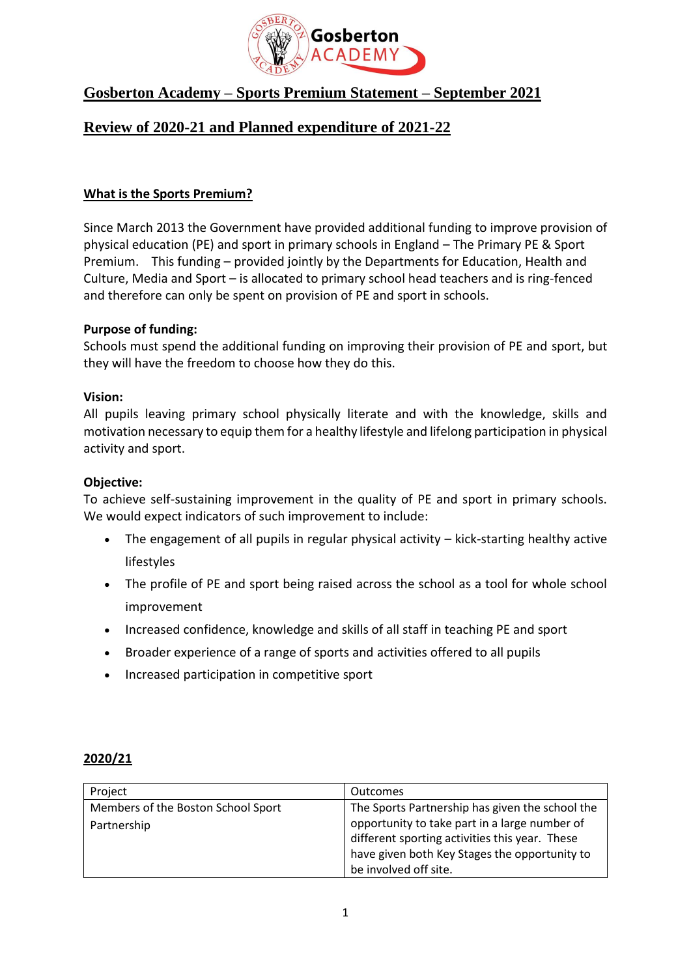

# **Gosberton Academy – Sports Premium Statement – September 2021**

## **Review of 2020-21 and Planned expenditure of 2021-22**

### **What is the Sports Premium?**

Since March 2013 the Government have provided additional funding to improve provision of physical education (PE) and sport in primary schools in England – The Primary PE & Sport Premium. This funding – provided jointly by the Departments for Education, Health and Culture, Media and Sport – is allocated to primary school head teachers and is ring-fenced and therefore can only be spent on provision of PE and sport in schools.

### **Purpose of funding:**

Schools must spend the additional funding on improving their provision of PE and sport, but they will have the freedom to choose how they do this.

### **Vision:**

All pupils leaving primary school physically literate and with the knowledge, skills and motivation necessary to equip them for a healthy lifestyle and lifelong participation in physical activity and sport.

### **Objective:**

To achieve self-sustaining improvement in the quality of PE and sport in primary schools. We would expect indicators of such improvement to include:

- The engagement of all pupils in regular physical activity kick-starting healthy active lifestyles
- The profile of PE and sport being raised across the school as a tool for whole school improvement
- Increased confidence, knowledge and skills of all staff in teaching PE and sport
- Broader experience of a range of sports and activities offered to all pupils
- Increased participation in competitive sport

### **2020/21**

| Project                            | Outcomes                                                                                        |
|------------------------------------|-------------------------------------------------------------------------------------------------|
| Members of the Boston School Sport | The Sports Partnership has given the school the                                                 |
| Partnership                        | opportunity to take part in a large number of<br>different sporting activities this year. These |
|                                    | have given both Key Stages the opportunity to                                                   |
|                                    | be involved off site.                                                                           |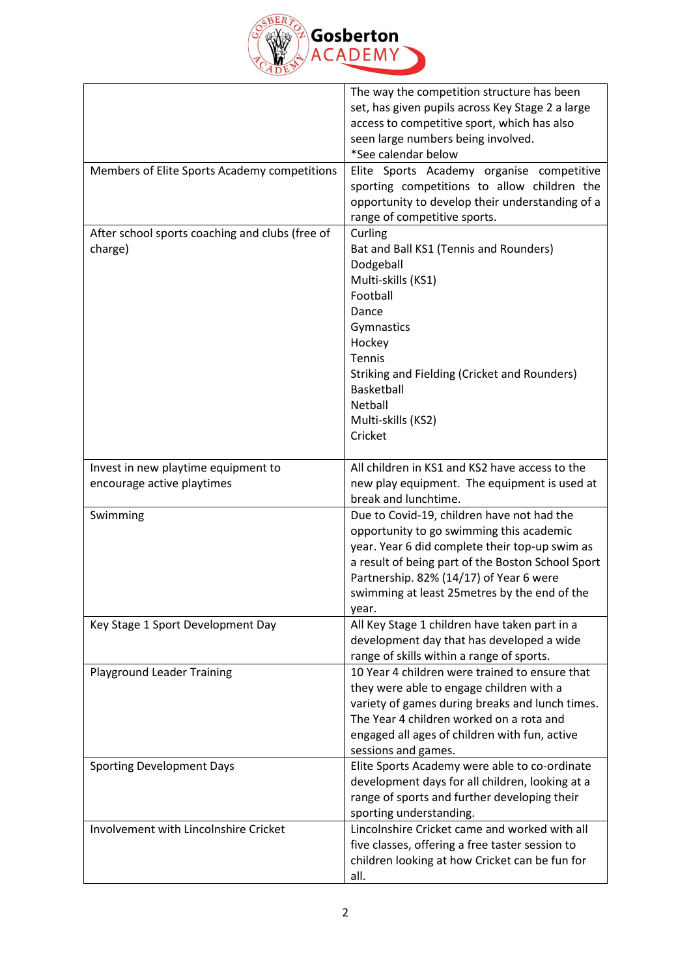

|                                                                   | The way the competition structure has been<br>set, has given pupils across Key Stage 2 a large<br>access to competitive sport, which has also<br>seen large numbers being involved.<br>*See calendar below                                                                                         |
|-------------------------------------------------------------------|----------------------------------------------------------------------------------------------------------------------------------------------------------------------------------------------------------------------------------------------------------------------------------------------------|
| Members of Elite Sports Academy competitions                      | Elite Sports Academy organise competitive<br>sporting competitions to allow children the<br>opportunity to develop their understanding of a<br>range of competitive sports.                                                                                                                        |
| After school sports coaching and clubs (free of<br>charge)        | Curling<br>Bat and Ball KS1 (Tennis and Rounders)<br>Dodgeball<br>Multi-skills (KS1)<br>Football<br>Dance<br>Gymnastics<br>Hockey<br><b>Tennis</b><br>Striking and Fielding (Cricket and Rounders)<br>Basketball<br>Netball<br>Multi-skills (KS2)<br>Cricket                                       |
| Invest in new playtime equipment to<br>encourage active playtimes | All children in KS1 and KS2 have access to the<br>new play equipment. The equipment is used at<br>break and lunchtime.                                                                                                                                                                             |
| Swimming                                                          | Due to Covid-19, children have not had the<br>opportunity to go swimming this academic<br>year. Year 6 did complete their top-up swim as<br>a result of being part of the Boston School Sport<br>Partnership. 82% (14/17) of Year 6 were<br>swimming at least 25 metres by the end of the<br>year. |
| Key Stage 1 Sport Development Day                                 | All Key Stage 1 children have taken part in a<br>development day that has developed a wide<br>range of skills within a range of sports.                                                                                                                                                            |
| <b>Playground Leader Training</b>                                 | 10 Year 4 children were trained to ensure that<br>they were able to engage children with a<br>variety of games during breaks and lunch times.<br>The Year 4 children worked on a rota and<br>engaged all ages of children with fun, active<br>sessions and games.                                  |
| <b>Sporting Development Days</b>                                  | Elite Sports Academy were able to co-ordinate<br>development days for all children, looking at a<br>range of sports and further developing their<br>sporting understanding.                                                                                                                        |
| Involvement with Lincolnshire Cricket                             | Lincolnshire Cricket came and worked with all<br>five classes, offering a free taster session to<br>children looking at how Cricket can be fun for<br>all.                                                                                                                                         |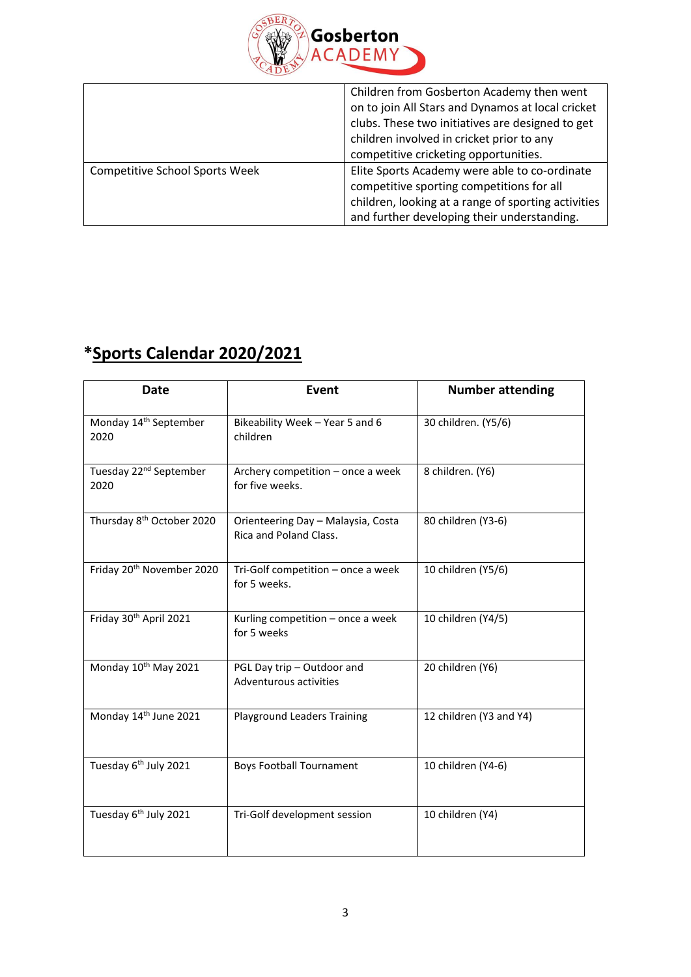

|                                       | Children from Gosberton Academy then went           |
|---------------------------------------|-----------------------------------------------------|
|                                       | on to join All Stars and Dynamos at local cricket   |
|                                       | clubs. These two initiatives are designed to get    |
|                                       | children involved in cricket prior to any           |
|                                       | competitive cricketing opportunities.               |
| <b>Competitive School Sports Week</b> | Elite Sports Academy were able to co-ordinate       |
|                                       | competitive sporting competitions for all           |
|                                       | children, looking at a range of sporting activities |
|                                       | and further developing their understanding.         |

# **\*Sports Calendar 2020/2021**

| <b>Date</b>                                | Event                                                        | <b>Number attending</b> |
|--------------------------------------------|--------------------------------------------------------------|-------------------------|
| Monday 14 <sup>th</sup> September<br>2020  | Bikeability Week - Year 5 and 6<br>children                  | 30 children. (Y5/6)     |
| Tuesday 22 <sup>nd</sup> September<br>2020 | Archery competition - once a week<br>for five weeks.         | 8 children. (Y6)        |
| Thursday 8 <sup>th</sup> October 2020      | Orienteering Day - Malaysia, Costa<br>Rica and Poland Class. | 80 children (Y3-6)      |
| Friday 20 <sup>th</sup> November 2020      | Tri-Golf competition - once a week<br>for 5 weeks.           | 10 children (Y5/6)      |
| Friday 30th April 2021                     | Kurling competition - once a week<br>for 5 weeks             | 10 children (Y4/5)      |
| Monday 10 <sup>th</sup> May 2021           | PGL Day trip - Outdoor and<br>Adventurous activities         | 20 children (Y6)        |
| Monday 14th June 2021                      | <b>Playground Leaders Training</b>                           | 12 children (Y3 and Y4) |
| Tuesday 6 <sup>th</sup> July 2021          | <b>Boys Football Tournament</b>                              | 10 children (Y4-6)      |
| Tuesday 6 <sup>th</sup> July 2021          | Tri-Golf development session                                 | 10 children (Y4)        |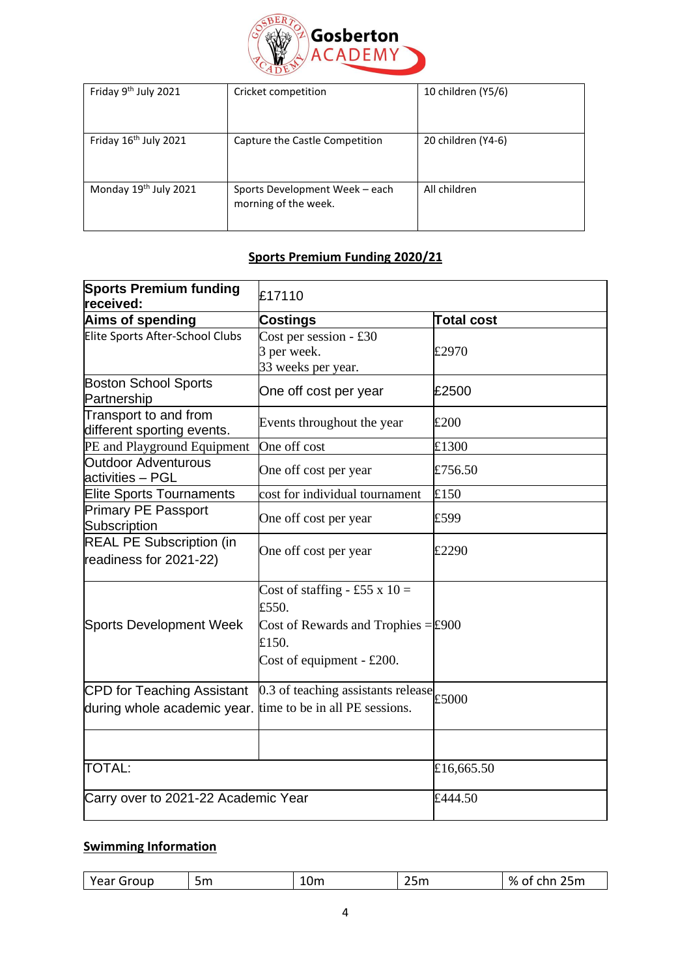

| Friday 9th July 2021              | Cricket competition                                    | 10 children (Y5/6) |
|-----------------------------------|--------------------------------------------------------|--------------------|
| Friday 16 <sup>th</sup> July 2021 | Capture the Castle Competition                         | 20 children (Y4-6) |
| Monday 19 <sup>th</sup> July 2021 | Sports Development Week - each<br>morning of the week. | All children       |

# **Sports Premium Funding 2020/21**

| <b>Sports Premium funding</b><br>received:                                               | £17110                                                                                                                       |                   |
|------------------------------------------------------------------------------------------|------------------------------------------------------------------------------------------------------------------------------|-------------------|
| Aims of spending                                                                         | Costings                                                                                                                     | <b>Total cost</b> |
| Elite Sports After-School Clubs                                                          | Cost per session - $\overline{130}$<br>3 per week.<br>33 weeks per year.                                                     | £2970             |
| <b>Boston School Sports</b><br>Partnership                                               | One off cost per year                                                                                                        | £2500             |
| Transport to and from<br>different sporting events.                                      | Events throughout the year                                                                                                   | £200              |
| PE and Playground Equipment                                                              | One off cost                                                                                                                 | £1300             |
| <b>Outdoor Adventurous</b><br>activities - PGL                                           | One off cost per year                                                                                                        | £756.50           |
| <b>Elite Sports Tournaments</b>                                                          | cost for individual tournament                                                                                               | £150              |
| <b>Primary PE Passport</b><br>Subscription                                               | One off cost per year                                                                                                        | £599              |
| <b>REAL PE Subscription (in</b><br>readiness for 2021-22)                                | One off cost per year                                                                                                        | £2290             |
| <b>Sports Development Week</b>                                                           | Cost of staffing - £55 x $10 =$<br>£550.<br>Cost of Rewards and Trophies $=\pm 900$<br>£150.<br>Cost of equipment - $£200$ . |                   |
| CPD for Teaching Assistant<br>during whole academic year. time to be in all PE sessions. | $\overline{0.3}$ of teaching assistants release £5000                                                                        |                   |
|                                                                                          |                                                                                                                              |                   |
| <b>TOTAL:</b>                                                                            |                                                                                                                              | £16,665.50        |
| Carry over to 2021-22 Academic Year                                                      |                                                                                                                              | £444.50           |

# **Swimming Information**

| Voor i<br>Group<br>Lm<br>i Edi<br>-- | 10m | <b>25m</b> | %<br>-of<br>---<br>25m |
|--------------------------------------|-----|------------|------------------------|
|--------------------------------------|-----|------------|------------------------|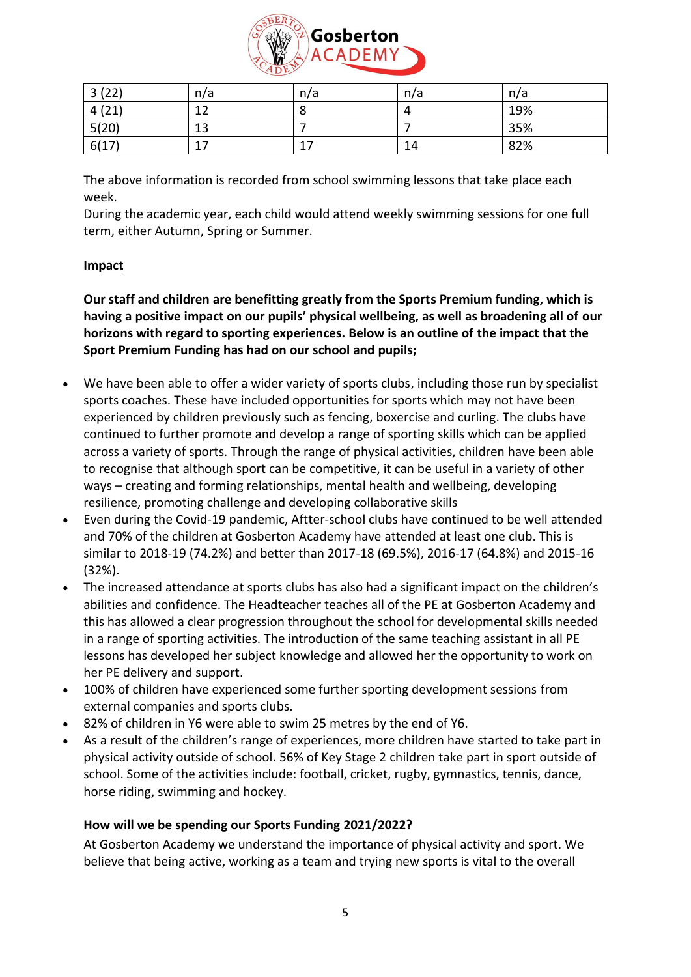

| 3(22) | n/a     | n/a    | n/a | n/a |
|-------|---------|--------|-----|-----|
| 4(21) | 1 ว     |        | Д   | 19% |
| 5(20) | 13      |        |     | 35% |
| 6(17) | 17<br>⊥ | ⇁<br>∸ | 14  | 82% |

The above information is recorded from school swimming lessons that take place each week.

During the academic year, each child would attend weekly swimming sessions for one full term, either Autumn, Spring or Summer.

## **Impact**

**Our staff and children are benefitting greatly from the Sports Premium funding, which is having a positive impact on our pupils' physical wellbeing, as well as broadening all of our horizons with regard to sporting experiences. Below is an outline of the impact that the Sport Premium Funding has had on our school and pupils;**

- We have been able to offer a wider variety of sports clubs, including those run by specialist sports coaches. These have included opportunities for sports which may not have been experienced by children previously such as fencing, boxercise and curling. The clubs have continued to further promote and develop a range of sporting skills which can be applied across a variety of sports. Through the range of physical activities, children have been able to recognise that although sport can be competitive, it can be useful in a variety of other ways – creating and forming relationships, mental health and wellbeing, developing resilience, promoting challenge and developing collaborative skills
- Even during the Covid-19 pandemic, Aftter-school clubs have continued to be well attended and 70% of the children at Gosberton Academy have attended at least one club. This is similar to 2018-19 (74.2%) and better than 2017-18 (69.5%), 2016-17 (64.8%) and 2015-16 (32%).
- The increased attendance at sports clubs has also had a significant impact on the children's abilities and confidence. The Headteacher teaches all of the PE at Gosberton Academy and this has allowed a clear progression throughout the school for developmental skills needed in a range of sporting activities. The introduction of the same teaching assistant in all PE lessons has developed her subject knowledge and allowed her the opportunity to work on her PE delivery and support.
- 100% of children have experienced some further sporting development sessions from external companies and sports clubs.
- 82% of children in Y6 were able to swim 25 metres by the end of Y6.
- As a result of the children's range of experiences, more children have started to take part in physical activity outside of school. 56% of Key Stage 2 children take part in sport outside of school. Some of the activities include: football, cricket, rugby, gymnastics, tennis, dance, horse riding, swimming and hockey.

## **How will we be spending our Sports Funding 2021/2022?**

At Gosberton Academy we understand the importance of physical activity and sport. We believe that being active, working as a team and trying new sports is vital to the overall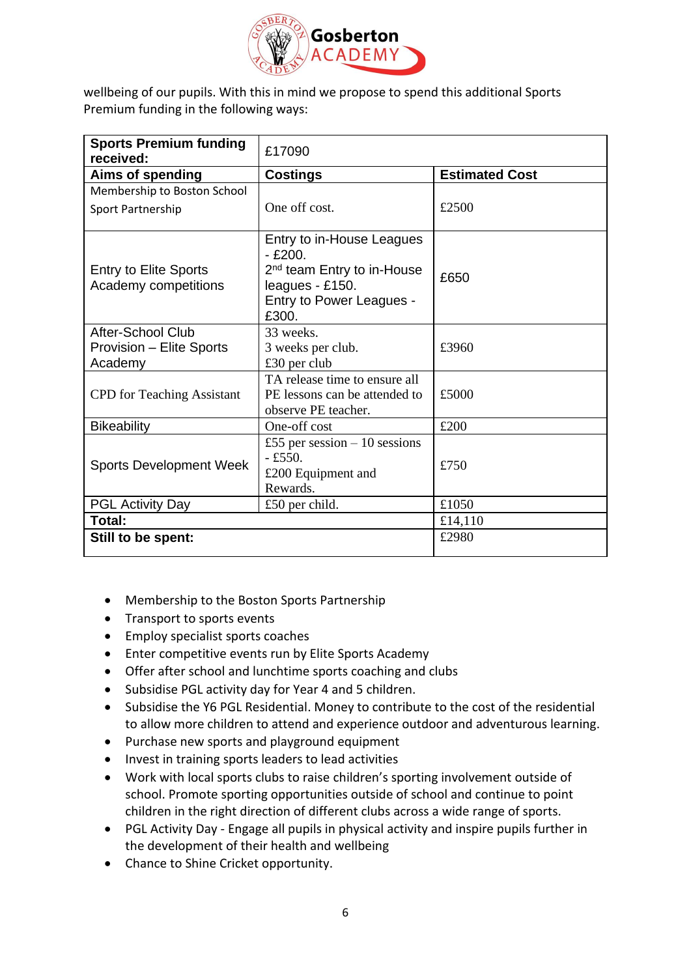

wellbeing of our pupils. With this in mind we propose to spend this additional Sports Premium funding in the following ways:

| <b>Sports Premium funding</b><br>received:               | £17090                                                                                                                                  |                       |
|----------------------------------------------------------|-----------------------------------------------------------------------------------------------------------------------------------------|-----------------------|
| Aims of spending                                         | <b>Costings</b>                                                                                                                         | <b>Estimated Cost</b> |
| Membership to Boston School                              |                                                                                                                                         |                       |
| Sport Partnership                                        | One off cost.                                                                                                                           | £2500                 |
| <b>Entry to Elite Sports</b><br>Academy competitions     | Entry to in-House Leagues<br>$-£200.$<br>2 <sup>nd</sup> team Entry to in-House<br>leagues - £150.<br>Entry to Power Leagues -<br>£300. | £650                  |
| After-School Club<br>Provision - Elite Sports<br>Academy | 33 weeks.<br>3 weeks per club.<br>$£30$ per club                                                                                        | £3960                 |
| <b>CPD</b> for Teaching Assistant                        | TA release time to ensure all<br>PE lessons can be attended to<br>observe PE teacher.                                                   | £5000                 |
| <b>Bikeability</b>                                       | One-off cost                                                                                                                            | £200                  |
| <b>Sports Development Week</b>                           | £55 per session $-10$ sessions<br>$-£550.$<br>£200 Equipment and<br>Rewards.                                                            | £750                  |
| <b>PGL Activity Day</b>                                  | £50 per child.                                                                                                                          | £1050                 |
| Total:                                                   |                                                                                                                                         | £14,110               |
| Still to be spent:                                       |                                                                                                                                         | £2980                 |

- Membership to the Boston Sports Partnership
- Transport to sports events
- Employ specialist sports coaches
- Enter competitive events run by Elite Sports Academy
- Offer after school and lunchtime sports coaching and clubs
- Subsidise PGL activity day for Year 4 and 5 children.
- Subsidise the Y6 PGL Residential. Money to contribute to the cost of the residential to allow more children to attend and experience outdoor and adventurous learning.
- Purchase new sports and playground equipment
- Invest in training sports leaders to lead activities
- Work with local sports clubs to raise children's sporting involvement outside of school. Promote sporting opportunities outside of school and continue to point children in the right direction of different clubs across a wide range of sports.
- PGL Activity Day Engage all pupils in physical activity and inspire pupils further in the development of their health and wellbeing
- Chance to Shine Cricket opportunity.